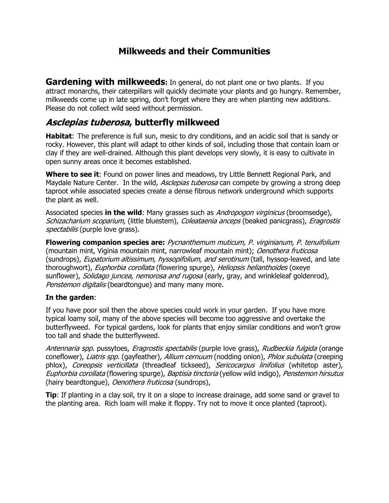# **Milkweeds and their Communities**

**Gardening with milkweeds:** In general, do not plant one or two plants. If you attract monarchs, their caterpillars will quickly decimate your plants and go hungry. Remember, milkweeds come up in late spring, don't forget where they are when planting new additions. Please do not collect wild seed without permission.

## **Asclepias tuberosa, butterfly milkweed**

**Habitat**: The preference is full sun, mesic to dry conditions, and an acidic soil that is sandy or rocky. However, this plant will adapt to other kinds of soil, including those that contain loam or clay if they are well-drained. Although this plant develops very slowly, it is easy to cultivate in open sunny areas once it becomes established.

**Where to see it**: Found on power lines and meadows, try Little Bennett Regional Park, and Maydale Nature Center. In the wild, *Asclepias tuberosa* can compete by growing a strong deep taproot while associated species create a dense fibrous network underground which supports the plant as well.

Associated species **in the wild**: Many grasses such as Andropogon virginicus (broomsedge), Schizacharium scoparium, (little bluestem), Coleataenia anceps (beaked panicgrass), Eragrostis spectabilis (purple love grass).

**Flowering companion species are:** Pycnanthemum muticum, P. virginianum, P. tenuifolium (mountain mint, Viginia mountain mint, narrowleaf mountain mint); Oenothera fruticosa (sundrops), *Eupatorium altissimum, hyssopifolium, and serotinum* (tall, hyssop-leaved, and late thoroughwort), Euphorbia corollata (flowering spurge), Heliopsis helianthoides (oxeye sunflower), *Solidago juncea, nemorosa and rugosa* (early, gray, and wrinkleleaf goldenrod), Penstemon digitalis (beardtongue) and many many more.

### **In the garden**:

If you have poor soil then the above species could work in your garden. If you have more typical loamy soil, many of the above species will become too aggressive and overtake the butterflyweed. For typical gardens, look for plants that enjoy similar conditions and won't grow too tall and shade the butterflyweed.

Antennaria spp. pussytoes, *Eragrostis spectabilis* (purple love grass), Rudbeckia fulgida (orange coneflower), Liatris spp. (gayfeather), Allium cernuum (nodding onion), Phlox subulata (creeping phlox), Coreopsis verticillata (threadleaf tickseed), Sericocarpus linifolius (whitetop aster), Euphorbia corollata (flowering spurge), Baptisia tinctoria (yellow wild indigo), Penstemon hirsutus (hairy beardtongue), *Oenothera fruticosa* (sundrops),

**Tip**: If planting in a clay soil, try it on a slope to increase drainage, add some sand or gravel to the planting area. Rich loam will make it floppy. Try not to move it once planted (taproot).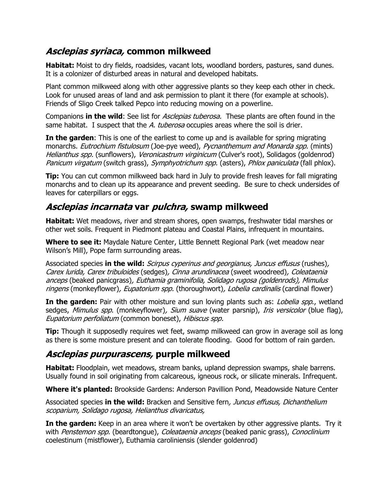# **Asclepias syriaca, common milkweed**

**Habitat:** Moist to dry fields, roadsides, vacant lots, woodland borders, pastures, sand dunes. It is a colonizer of disturbed areas in natural and developed habitats.

Plant common milkweed along with other aggressive plants so they keep each other in check. Look for unused areas of land and ask permission to plant it there (for example at schools). Friends of Sligo Creek talked Pepco into reducing mowing on a powerline.

Companions **in the wild**: See list for Asclepias tuberosa. These plants are often found in the same habitat. I suspect that the A. tuberosa occupies areas where the soil is drier.

**In the garden**: This is one of the earliest to come up and is available for spring migrating monarchs. Eutrochium fistulosum (Joe-pye weed), Pycnanthemum and Monarda spp. (mints) Helianthus spp. (sunflowers), Veronicastrum virginicum (Culver's root), Solidagos (goldenrod) Panicum virgatum (switch grass), Symphyotrichum spp. (asters), Phlox paniculata (fall phlox).

**Tip:** You can cut common milkweed back hard in July to provide fresh leaves for fall migrating monarchs and to clean up its appearance and prevent seeding. Be sure to check undersides of leaves for caterpillars or eggs.

# **Asclepias incarnata var pulchra, swamp milkweed**

**Habitat:** Wet meadows, river and stream shores, open swamps, freshwater tidal marshes or other wet soils. Frequent in Piedmont plateau and Coastal Plains, infrequent in mountains.

**Where to see it:** Maydale Nature Center, Little Bennett Regional Park (wet meadow near Wilson's Mill), Pope farm surrounding areas.

Associated species **in the wild:** Scirpus cyperinus and georgianus, Juncus effusus (rushes), Carex lurida, Carex tribuloides (sedges), Cinna arundinacea (sweet woodreed), Coleataenia anceps (beaked panicgrass), Euthamia graminifolia, Solidago rugosa (goldenrods), Mimulus ringens (monkeyflower), Eupatorium spp. (thoroughwort), Lobelia cardinalis (cardinal flower)

**In the garden:** Pair with other moisture and sun loving plants such as: *Lobelia spp.*, wetland sedges, Mimulus spp. (monkeyflower), Sium suave (water parsnip), Iris versicolor (blue flag), Eupatorium perfoliatum (common boneset), Hibiscus spp.

**Tip:** Though it supposedly requires wet feet, swamp milkweed can grow in average soil as long as there is some moisture present and can tolerate flooding. Good for bottom of rain garden.

# **Asclepias purpurascens, purple milkweed**

**Habitat:** Floodplain, wet meadows, stream banks, upland depression swamps, shale barrens. Usually found in soil originating from calcareous, igneous rock, or silicate minerals. Infrequent.

**Where it's planted:** Brookside Gardens: Anderson Pavillion Pond, Meadowside Nature Center

Associated species **in the wild:** Bracken and Sensitive fern, Juncus effusus, Dichanthelium scoparium, Solidago rugosa, Helianthus divaricatus,

**In the garden:** Keep in an area where it won't be overtaken by other aggressive plants. Try it with Penstemon spp. (beardtongue), Coleataenia anceps (beaked panic grass), Conoclinium coelestinum (mistflower), Euthamia caroliniensis (slender goldenrod)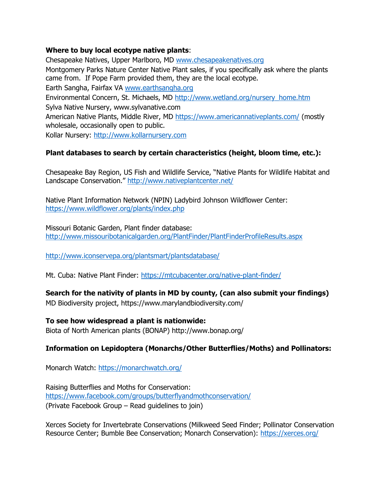### **Where to buy local ecotype native plants**:

Chesapeake Natives, Upper Marlboro, MD [www.chesapeakenatives.org](http://www.chesapeakenatives.org/) Montgomery Parks Nature Center Native Plant sales, if you specifically ask where the plants came from. If Pope Farm provided them, they are the local ecotype. Earth Sangha, Fairfax VA [www.earthsangha.org](http://www.earthsangha.org/) Environmental Concern, St. Michaels, MD [http://www.wetland.org/nursery\\_home.htm](http://www.wetland.org/nursery_home.htm) Sylva Native Nursery, www.sylvanative.com American Native Plants, Middle River, MD<https://www.americannativeplants.com/> (mostly wholesale, occasionally open to public. Kollar Nursery: [http://www.kollarnursery.com](http://www.kollarnursery.com/)

### **Plant databases to search by certain characteristics (height, bloom time, etc.):**

Chesapeake Bay Region, US Fish and Wildlife Service, "Native Plants for Wildlife Habitat and Landscape Conservation." http://www.nativeplantcenter.net/

Native Plant Information Network (NPIN) Ladybird Johnson Wildflower Center: <https://www.wildflower.org/plants/index.php>

Missouri Botanic Garden, Plant finder database: <http://www.missouribotanicalgarden.org/PlantFinder/PlantFinderProfileResults.aspx>

<http://www.iconservepa.org/plantsmart/plantsdatabase/>

Mt. Cuba: Native Plant Finder:<https://mtcubacenter.org/native-plant-finder/>

**Search for the nativity of plants in MD by county, (can also submit your findings)** MD Biodiversity project, https://www.marylandbiodiversity.com/

#### **To see how widespread a plant is nationwide:**

Biota of North American plants (BONAP) http://www.bonap.org/

### **Information on Lepidoptera (Monarchs/Other Butterflies/Moths) and Pollinators:**

Monarch Watch:<https://monarchwatch.org/>

Raising Butterflies and Moths for Conservation: <https://www.facebook.com/groups/butterflyandmothconservation/> (Private Facebook Group – Read guidelines to join)

Xerces Society for Invertebrate Conservations (Milkweed Seed Finder; Pollinator Conservation Resource Center; Bumble Bee Conservation; Monarch Conservation):<https://xerces.org/>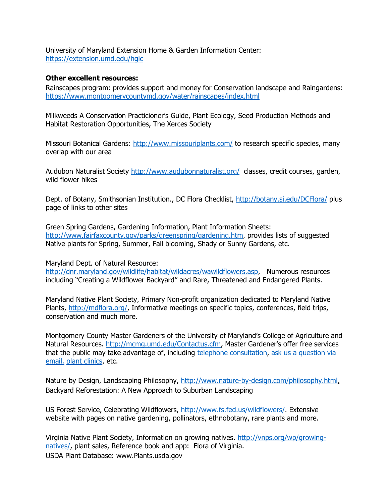University of Maryland Extension Home & Garden Information Center: <https://extension.umd.edu/hgic>

#### **Other excellent resources:**

Rainscapes program: provides support and money for Conservation landscape and Raingardens: <https://www.montgomerycountymd.gov/water/rainscapes/index.html>

Milkweeds A Conservation Practicioner's Guide, Plant Ecology, Seed Production Methods and Habitat Restoration Opportunities, The Xerces Society

Missouri Botanical Gardens:<http://www.missouriplants.com/> to research specific species, many overlap with our area

Audubon Naturalist Society<http://www.audubonnaturalist.org/>classes, credit courses, garden, wild flower hikes

Dept. of Botany, Smithsonian Institution., DC Flora Checklist,<http://botany.si.edu/DCFlora/> plus page of links to other sites

Green Spring Gardens, Gardening Information, Plant Information Sheets: [http://www.fairfaxcounty.gov/parks/greenspring/gardening.htm,](http://www.fairfaxcounty.gov/parks/greenspring/gardening.htm) provides lists of suggested Native plants for Spring, Summer, Fall blooming, Shady or Sunny Gardens, etc.

Maryland Dept. of Natural Resource:

[http://dnr.maryland.gov/wildlife/habitat/wildacres/wawildflowers.asp,](http://dnr.maryland.gov/wildlife/habitat/wildacres/wawildflowers.asp) Numerous resources including "Creating a Wildflower Backyard" and Rare, Threatened and Endangered Plants.

Maryland Native Plant Society, Primary Non-profit organization dedicated to Maryland Native Plants, [http://mdflora.org/,](http://mdflora.org/) Informative meetings on specific topics, conferences, field trips, conservation and much more.

Montgomery County Master Gardeners of the University of Maryland's College of Agriculture and Natural Resources. [http://mcmg.umd.edu/Contactus.cfm,](http://mcmg.umd.edu/Contactus.cfm) Master Gardener's offer free services that the public may take advantage of, including [telephone consultation,](http://mcmg.umd.edu/AskMG/Telephonehotline.cfm) ask us a question via [email,](mailto:mgmont@umd.edu) [plant clinics,](http://mcmg.umd.edu/AskMG/PlantClinics.cfm) etc.

Nature by Design, Landscaping Philosophy, [http://www.nature-by-design.com/philosophy.html,](http://www.nature-by-design.com/philosophy.html) Backyard Reforestation: A New Approach to Suburban Landscaping

US Forest Service, Celebrating Wildflowers, [http://www.fs.fed.us/wildflowers/.](http://www.fs.fed.us/wildflowers/) Extensive website with pages on native gardening, pollinators, ethnobotany, rare plants and more.

Virginia Native Plant Society, Information on growing natives. [http://vnps.org/wp/growing](http://vnps.org/wp/growing-natives/)[natives/,](http://vnps.org/wp/growing-natives/) plant sales, Reference book and app: Flora of Virginia. USDA Plant Database: www.Plants.usda.gov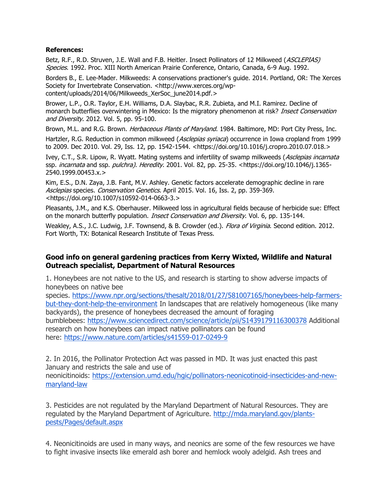#### **References:**

Betz, R.F., R.D. Struven, J.E. Wall and F.B. Heitler. Insect Pollinators of 12 Milkweed (ASCLEPIAS) Species. 1992. Proc. XIII North American Prairie Conference, Ontario, Canada, 6-9 Aug. 1992.

Borders B., E. Lee-Mader. Milkweeds: A conservations practioner's guide. 2014. Portland, OR: The Xerces Society for Invertebrate Conservation. <http://www.xerces.org/wpcontent/uploads/2014/06/Milkweeds\_XerSoc\_june2014.pdf.>

Brower, L.P., O.R. Taylor, E.H. Williams, D.A. Slaybac, R.R. Zubieta, and M.I. Ramirez. Decline of monarch butterflies overwintering in Mexico: Is the migratory phenomenon at risk? Insect Conservation and Diversity. 2012. Vol. 5, pp. 95-100.

Brown, M.L. and R.G. Brown. *Herbaceous Plants of Maryland*. 1984. Baltimore, MD: Port City Press, Inc.

Hartzler, R.G. Reduction in common milkweed (Asclepias syriaca) occurrence in Iowa cropland from 1999 to 2009. Dec 2010. Vol. 29, Iss. 12, pp. 1542-1544. <https://doi.org/10.1016/j.cropro.2010.07.018.>

Ivey, C.T., S.R. Lipow, R. Wyatt. Mating systems and infertility of swamp milkweeds (Asclepias incarnata ssp. *incarnata* and ssp. *pulchra). Heredity*. 2001. Vol. 82, pp. 25-35. <https://doi.org/10.1046/j.1365-2540.1999.00453.x.>

Kim, E.S., D.N. Zaya, J.B. Fant, M.V. Ashley. Genetic factors accelerate demographic decline in rare Asclepias species. Conservation Genetics. April 2015. Vol. 16, Iss. 2, pp. 359-369. <https://doi.org/10.1007/s10592-014-0663-3.>

Pleasants, J.M., and K.S. Oberhauser. Milkweed loss in agricultural fields because of herbicide sue: Effect on the monarch butterfly population. *Insect Conservation and Diversity*. Vol. 6, pp. 135-144.

Weakley, A.S., J.C. Ludwig, J.F. Townsend, & B. Crowder (ed.). Flora of Virginia. Second edition. 2012. Fort Worth, TX: Botanical Research Institute of Texas Press.

### **Good info on general gardening practices from Kerry Wixted, Wildlife and Natural Outreach specialist, Department of Natural Resources**

1. Honeybees are not native to the US, and research is starting to show adverse impacts of honeybees on native bee

species. [https://www.npr.org/sections/thesalt/2018/01/27/581007165/honeybees-help-farmers](https://www.npr.org/sections/thesalt/2018/01/27/581007165/honeybees-help-farmers-but-they-dont-help-the-environment)[but-they-dont-help-the-environment](https://www.npr.org/sections/thesalt/2018/01/27/581007165/honeybees-help-farmers-but-they-dont-help-the-environment) In landscapes that are relatively homogeneous (like many backyards), the presence of honeybees decreased the amount of foraging bumblebees: <https://www.sciencedirect.com/science/article/pii/S1439179116300378> Additional research on how honeybees can impact native pollinators can be found here: <https://www.nature.com/articles/s41559-017-0249-9>

2. In 2016, the Pollinator Protection Act was passed in MD. It was just enacted this past January and restricts the sale and use of neonicitinoids: [https://extension.umd.edu/hgic/pollinators-neonicotinoid-insecticides-and-new](https://extension.umd.edu/hgic/pollinators-neonicotinoid-insecticides-and-new-maryland-law)[maryland-law](https://extension.umd.edu/hgic/pollinators-neonicotinoid-insecticides-and-new-maryland-law)

3. Pesticides are not regulated by the Maryland Department of Natural Resources. They are regulated by the Maryland Department of Agriculture. [http://mda.maryland.gov/plants](http://mda.maryland.gov/plants-pests/Pages/default.aspx)[pests/Pages/default.aspx](http://mda.maryland.gov/plants-pests/Pages/default.aspx)

4. Neonicitinoids are used in many ways, and neonics are some of the few resources we have to fight invasive insects like emerald ash borer and hemlock wooly adelgid. Ash trees and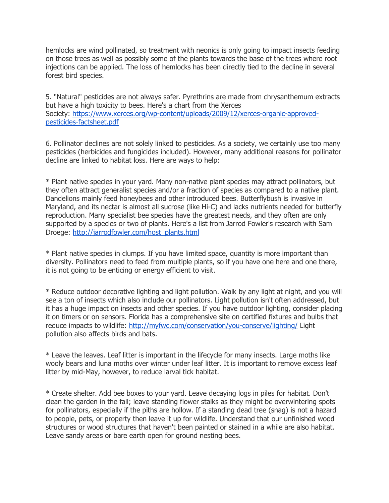hemlocks are wind pollinated, so treatment with neonics is only going to impact insects feeding on those trees as well as possibly some of the plants towards the base of the trees where root injections can be applied. The loss of hemlocks has been directly tied to the decline in several forest bird species.

5. "Natural" pesticides are not always safer. Pyrethrins are made from chrysanthemum extracts but have a high toxicity to bees. Here's a chart from the Xerces Society: [https://www.xerces.org/wp-content/uploads/2009/12/xerces-organic-approved](https://www.xerces.org/wp-content/uploads/2009/12/xerces-organic-approved-pesticides-factsheet.pdf)[pesticides-factsheet.pdf](https://www.xerces.org/wp-content/uploads/2009/12/xerces-organic-approved-pesticides-factsheet.pdf)

6. Pollinator declines are not solely linked to pesticides. As a society, we certainly use too many pesticides (herbicides and fungicides included). However, many additional reasons for pollinator decline are linked to habitat loss. Here are ways to help:

\* Plant native species in your yard. Many non-native plant species may attract pollinators, but they often attract generalist species and/or a fraction of species as compared to a native plant. Dandelions mainly feed honeybees and other introduced bees. Butterflybush is invasive in Maryland, and its nectar is almost all sucrose (like Hi-C) and lacks nutrients needed for butterfly reproduction. Many specialist bee species have the greatest needs, and they often are only supported by a species or two of plants. Here's a list from Jarrod Fowler's research with Sam Droege: [http://jarrodfowler.com/host\\_plants.html](http://jarrodfowler.com/host_plants.html)

\* Plant native species in clumps. If you have limited space, quantity is more important than diversity. Pollinators need to feed from multiple plants, so if you have one here and one there, it is not going to be enticing or energy efficient to visit.

\* Reduce outdoor decorative lighting and light pollution. Walk by any light at night, and you will see a ton of insects which also include our pollinators. Light pollution isn't often addressed, but it has a huge impact on insects and other species. If you have outdoor lighting, consider placing it on timers or on sensors. Florida has a comprehensive site on certified fixtures and bulbs that reduce impacts to wildlife: <http://myfwc.com/conservation/you-conserve/lighting/> Light pollution also affects birds and bats.

\* Leave the leaves. Leaf litter is important in the lifecycle for many insects. Large moths like wooly bears and luna moths over winter under leaf litter. It is important to remove excess leaf litter by mid-May, however, to reduce larval tick habitat.

\* Create shelter. Add bee boxes to your yard. Leave decaying logs in piles for habitat. Don't clean the garden in the fall; leave standing flower stalks as they might be overwintering spots for pollinators, especially if the piths are hollow. If a standing dead tree (snag) is not a hazard to people, pets, or property then leave it up for wildlife. Understand that our unfinished wood structures or wood structures that haven't been painted or stained in a while are also habitat. Leave sandy areas or bare earth open for ground nesting bees.